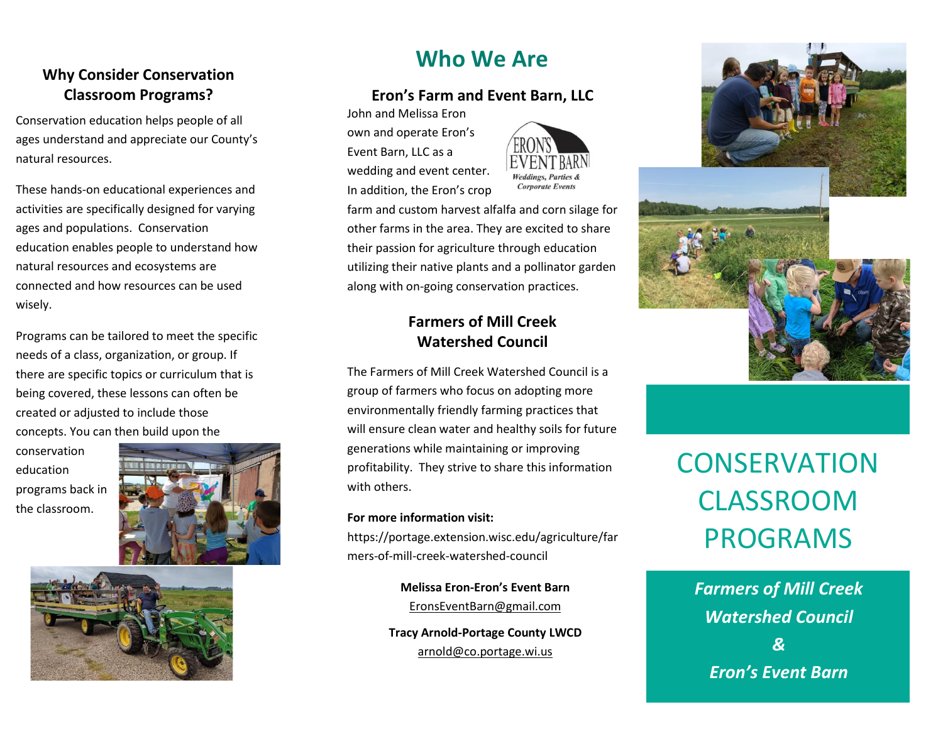### **Why Consider Conservation Classroom Programs?**

Conservation education helps people of all ages understand and appreciate our County's natural resources.

These hands-on educational experiences and activities are specifically designed for varying ages and populations. Conservation education enables people to understand how natural resources and ecosystems are connected and how resources can be used wisely.

Programs can be tailored to meet the specific needs of a class, organization, or group. If there are specific topics or curriculum that is being covered, these lessons can often be created or adjusted to include those concepts. You can then build upon the

conservation education programs back in the classroom.





## **Who We Are**

### **Eron's Farm and Event Barn, LLC**

John and Melissa Eron own and operate Eron's Event Barn, LLC as a wedding and event center. In addition, the Eron's crop



farm and custom harvest alfalfa and corn silage for other farms in the area. They are excited to share their passion for agriculture through education utilizing their native plants and a pollinator garden along with on-going conservation practices.

### **Farmers of Mill Creek Watershed Council**

The Farmers of Mill Creek Watershed Council is a group of farmers who focus on adopting more environmentally friendly farming practices that will ensure clean water and healthy soils for future generations while maintaining or improving profitability. They strive to share this information with others.

#### **For more information visit:**

[https://portage.extension.wisc.edu/agriculture/far](https://portage.extension.wisc.edu/agriculture/farmers-of-mill-creek-watershed-council) [mers-of-mill-creek-watershed-council](https://portage.extension.wisc.edu/agriculture/farmers-of-mill-creek-watershed-council)

> **Melissa Eron-Eron's Event Barn** [EronsEventBarn@gmail.com](mailto:EronsEventBarn@gmail.com)

**Tracy Arnold-Portage County LWCD** [arnold@co.portage.wi.us](mailto:arnold@co.portage.wi.us)



# **CONSERVATION** CLASSROOM PROGRAMS

*Farmers of Mill Creek Watershed Council & Eron's Event Barn*